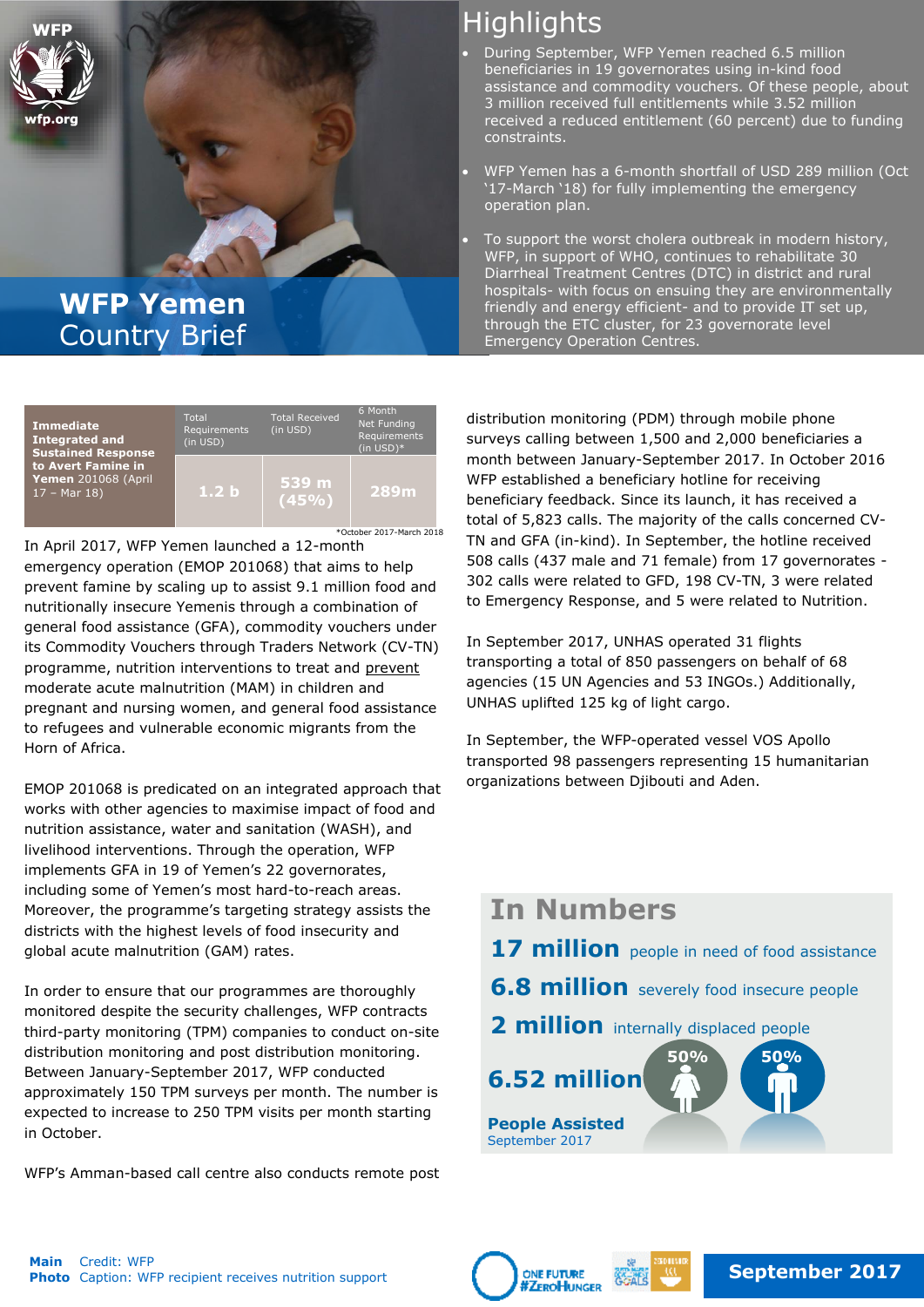

## **WFP Yemen** Country Brief

| <b>Immediate</b><br><b>Integrated and</b><br><b>Sustained Response</b><br>to Avert Famine in<br>Yemen 201068 (April<br>$17 - Mar 18$ | Total<br>Requirements<br>(in USD) | <b>Total Received</b><br>(in USD) | 6 Month<br>Net Funding<br>Requirements<br>$(in USD)*$ |
|--------------------------------------------------------------------------------------------------------------------------------------|-----------------------------------|-----------------------------------|-------------------------------------------------------|
|                                                                                                                                      | 1.2 <sub>b</sub>                  | 539 m<br>(45%                     | <b>289m</b>                                           |

\*October 2017-March 2018

In April 2017, WFP Yemen launched a 12-month emergency operation (EMOP 201068) that aims to help prevent famine by scaling up to assist 9.1 million food and nutritionally insecure Yemenis through a combination of general food assistance (GFA), commodity vouchers under its Commodity Vouchers through Traders Network (CV-TN) programme, nutrition interventions to treat and prevent moderate acute malnutrition (MAM) in children and pregnant and nursing women, and general food assistance to refugees and vulnerable economic migrants from the Horn of Africa.

EMOP 201068 is predicated on an integrated approach that works with other agencies to maximise impact of food and nutrition assistance, water and sanitation (WASH), and livelihood interventions. Through the operation, WFP implements GFA in 19 of Yemen's 22 governorates, including some of Yemen's most hard-to-reach areas. Moreover, the programme's targeting strategy assists the districts with the highest levels of food insecurity and global acute malnutrition (GAM) rates.

In order to ensure that our programmes are thoroughly monitored despite the security challenges, WFP contracts third-party monitoring (TPM) companies to conduct on-site distribution monitoring and post distribution monitoring. Between January-September 2017, WFP conducted approximately 150 TPM surveys per month. The number is expected to increase to 250 TPM visits per month starting in October.

WFP's Amman-based call centre also conducts remote post

# **Highlights**

- During September, WFP Yemen reached 6.5 million beneficiaries in 19 governorates using in-kind food assistance and commodity vouchers. Of these people, about 3 million received full entitlements while 3.52 million received a reduced entitlement (60 percent) due to funding constraints.
- WFP Yemen has a 6-month shortfall of USD 289 million (Oct '17-March '18) for fully implementing the emergency operation plan.
- To support the worst cholera outbreak in modern history, WFP, in support of WHO, continues to rehabilitate 30 Diarrheal Treatment Centres (DTC) in district and rural hospitals- with focus on ensuing they are environmentally friendly and energy efficient- and to provide IT set up, through the ETC cluster, for 23 governorate level Emergency Operation Centres.

distribution monitoring (PDM) through mobile phone surveys calling between 1,500 and 2,000 beneficiaries a month between January-September 2017. In October 2016 WFP established a beneficiary hotline for receiving beneficiary feedback. Since its launch, it has received a total of 5,823 calls. The majority of the calls concerned CV-TN and GFA (in-kind). In September, the hotline received 508 calls (437 male and 71 female) from 17 governorates - 302 calls were related to GFD, 198 CV-TN, 3 were related to Emergency Response, and 5 were related to Nutrition.

In September 2017, UNHAS operated 31 flights transporting a total of 850 passengers on behalf of 68 agencies (15 UN Agencies and 53 INGOs.) Additionally, UNHAS uplifted 125 kg of light cargo.

In September, the WFP-operated vessel VOS Apollo transported 98 passengers representing 15 humanitarian organizations between Djibouti and Aden.